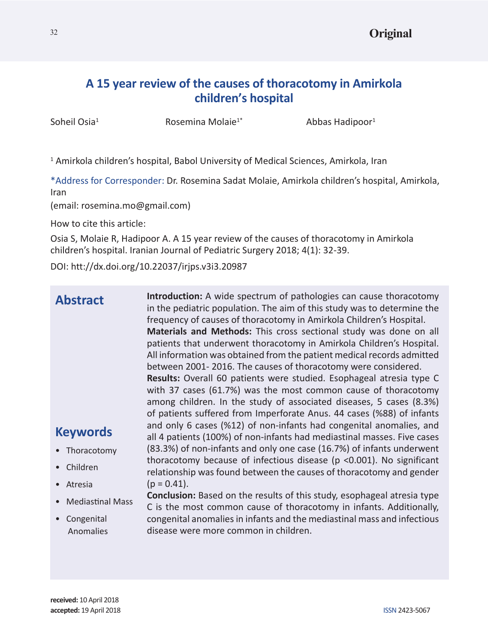# **A 15 year review of the causes of thoracotomy in Amirkola children's hospital**

Soheil Osia<sup>1</sup>

Rosemina Molaie<sup>1\*</sup>  $\qquad \qquad$  Abbas Hadipoor<sup>1</sup>

<sup>1</sup> Amirkola children's hospital, Babol University of Medical Sciences, Amirkola, Iran

\*Address for Corresponder: Dr. Rosemina Sadat Molaie, Amirkola children's hospital, Amirkola, Iran

(email: rosemina.mo@gmail.com)

How to cite this article:

Osia S, Molaie R, Hadipoor A. A 15 year review of the causes of thoracotomy in Amirkola children's hospital. Iranian Journal of Pediatric Surgery 2018; 4(1): 32-39.

DOI: htt://dx.doi.org/10.22037/irjps.v3i3.20987

| <b>Abstract</b>         | <b>Introduction:</b> A wide spectrum of pathologies can cause thoracotomy<br>in the pediatric population. The aim of this study was to determine the<br>frequency of causes of thoracotomy in Amirkola Children's Hospital.<br>Materials and Methods: This cross sectional study was done on all<br>patients that underwent thoracotomy in Amirkola Children's Hospital.<br>All information was obtained from the patient medical records admitted<br>between 2001-2016. The causes of thoracotomy were considered.<br>Results: Overall 60 patients were studied. Esophageal atresia type C<br>with 37 cases (61.7%) was the most common cause of thoracotomy<br>among children. In the study of associated diseases, 5 cases (8.3%)<br>of patients suffered from Imperforate Anus. 44 cases (%88) of infants |
|-------------------------|---------------------------------------------------------------------------------------------------------------------------------------------------------------------------------------------------------------------------------------------------------------------------------------------------------------------------------------------------------------------------------------------------------------------------------------------------------------------------------------------------------------------------------------------------------------------------------------------------------------------------------------------------------------------------------------------------------------------------------------------------------------------------------------------------------------|
| <b>Keywords</b>         | and only 6 cases (%12) of non-infants had congenital anomalies, and<br>all 4 patients (100%) of non-infants had mediastinal masses. Five cases                                                                                                                                                                                                                                                                                                                                                                                                                                                                                                                                                                                                                                                                |
| • Thoracotomy           | (83.3%) of non-infants and only one case (16.7%) of infants underwent                                                                                                                                                                                                                                                                                                                                                                                                                                                                                                                                                                                                                                                                                                                                         |
| Children                | thoracotomy because of infectious disease ( $p$ <0.001). No significant<br>relationship was found between the causes of thoracotomy and gender                                                                                                                                                                                                                                                                                                                                                                                                                                                                                                                                                                                                                                                                |
| Atresia                 | $(p = 0.41)$ .                                                                                                                                                                                                                                                                                                                                                                                                                                                                                                                                                                                                                                                                                                                                                                                                |
| <b>Mediastinal Mass</b> | <b>Conclusion:</b> Based on the results of this study, esophageal atresia type<br>C is the most common cause of thoracotomy in infants. Additionally,                                                                                                                                                                                                                                                                                                                                                                                                                                                                                                                                                                                                                                                         |
| Congenital<br>Anomalies | congenital anomalies in infants and the mediastinal mass and infectious<br>disease were more common in children.                                                                                                                                                                                                                                                                                                                                                                                                                                                                                                                                                                                                                                                                                              |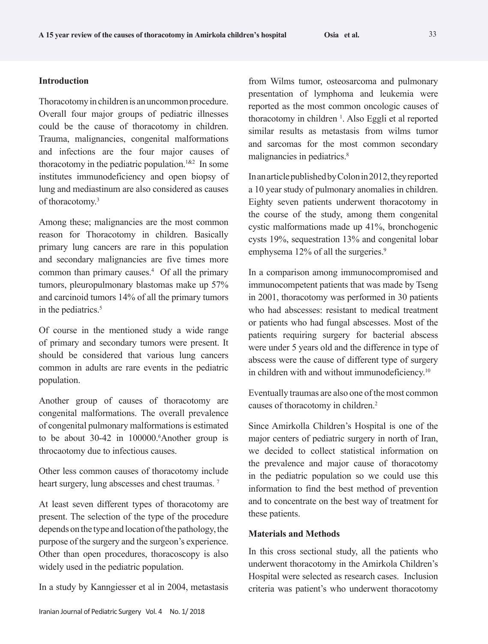# **Introduction**

Thoracotomy in children is an uncommon procedure. Overall four major groups of pediatric illnesses could be the cause of thoracotomy in children. Trauma, malignancies, congenital malformations and infections are the four major causes of thoracotomy in the pediatric population.<sup>1&2</sup> In some institutes immunodeficiency and open biopsy of lung and mediastinum are also considered as causes of thoracotomy.<sup>3</sup>

Among these; malignancies are the most common reason for Thoracotomy in children. Basically primary lung cancers are rare in this population and secondary malignancies are five times more common than primary causes.4 Of all the primary tumors, pleuropulmonary blastomas make up 57% and carcinoid tumors 14% of all the primary tumors in the pediatrics.<sup>5</sup>

Of course in the mentioned study a wide range of primary and secondary tumors were present. It should be considered that various lung cancers common in adults are rare events in the pediatric population.

Another group of causes of thoracotomy are congenital malformations. The overall prevalence of congenital pulmonary malformations is estimated to be about 30-42 in 100000.<sup>6</sup>Another group is throcaotomy due to infectious causes.

Other less common causes of thoracotomy include heart surgery, lung abscesses and chest traumas.<sup>7</sup>

At least seven different types of thoracotomy are present. The selection of the type of the procedure depends on the type and location of the pathology, the purpose of the surgery and the surgeon's experience. Other than open procedures, thoracoscopy is also widely used in the pediatric population.

In a study by Kanngiesser et al in 2004, metastasis

from Wilms tumor, osteosarcoma and pulmonary presentation of lymphoma and leukemia were reported as the most common oncologic causes of thoracotomy in children 1 . Also Eggli et al reported similar results as metastasis from wilms tumor and sarcomas for the most common secondary malignancies in pediatrics.<sup>8</sup>

In an article published by Colon in 2012, they reported a 10 year study of pulmonary anomalies in children. Eighty seven patients underwent thoracotomy in the course of the study, among them congenital cystic malformations made up 41%, bronchogenic cysts 19%, sequestration 13% and congenital lobar emphysema 12% of all the surgeries.<sup>9</sup>

In a comparison among immunocompromised and immunocompetent patients that was made by Tseng in 2001, thoracotomy was performed in 30 patients who had abscesses: resistant to medical treatment or patients who had fungal abscesses. Most of the patients requiring surgery for bacterial abscess were under 5 years old and the difference in type of abscess were the cause of different type of surgery in children with and without immunodeficiency.<sup>10</sup>

Eventually traumas are also one of the most common causes of thoracotomy in children.2

Since Amirkolla Children's Hospital is one of the major centers of pediatric surgery in north of Iran, we decided to collect statistical information on the prevalence and major cause of thoracotomy in the pediatric population so we could use this information to find the best method of prevention and to concentrate on the best way of treatment for these patients.

# **Materials and Methods**

In this cross sectional study, all the patients who underwent thoracotomy in the Amirkola Children's Hospital were selected as research cases. Inclusion criteria was patient's who underwent thoracotomy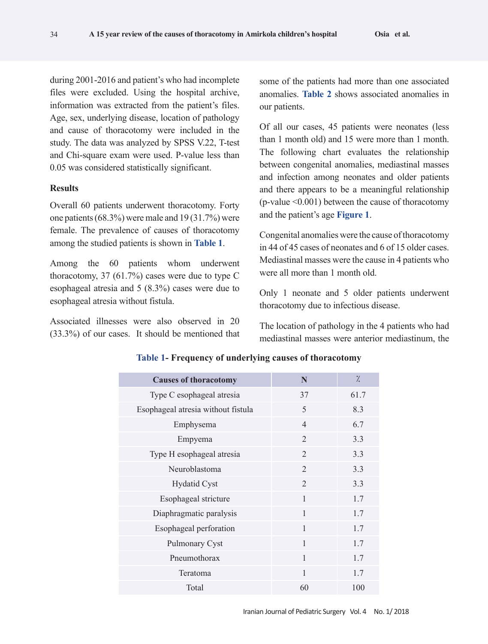during 2001-2016 and patient's who had incomplete files were excluded. Using the hospital archive, information was extracted from the patient's files. Age, sex, underlying disease, location of pathology and cause of thoracotomy were included in the study. The data was analyzed by SPSS V.22, T-test and Chi-square exam were used. P-value less than 0.05 was considered statistically significant.

#### **Results**

Overall 60 patients underwent thoracotomy. Forty one patients (68.3%) were male and 19 (31.7%) were female. The prevalence of causes of thoracotomy among the studied patients is shown in **Table 1**.

Among the 60 patients whom underwent thoracotomy, 37  $(61.7%)$  cases were due to type C esophageal atresia and 5 (8.3%) cases were due to esophageal atresia without fistula.

Associated illnesses were also observed in 20 (33.3%) of our cases. It should be mentioned that some of the patients had more than one associated anomalies. **Table 2** shows associated anomalies in our patients.

Of all our cases, 45 patients were neonates (less than 1 month old) and 15 were more than 1 month. The following chart evaluates the relationship between congenital anomalies, mediastinal masses and infection among neonates and older patients and there appears to be a meaningful relationship (p-value  $\leq 0.001$ ) between the cause of thoracotomy and the patient's age **Figure 1**.

Congenital anomalies were the cause of thoracotomy in 44 of 45 cases of neonates and 6 of 15 older cases. Mediastinal masses were the cause in 4 patients who were all more than 1 month old.

Only 1 neonate and 5 older patients underwent thoracotomy due to infectious disease.

The location of pathology in the 4 patients who had mediastinal masses were anterior mediastinum, the

| <b>Causes of thoracotomy</b>       | N              | $\frac{1}{2}$ |
|------------------------------------|----------------|---------------|
| Type C esophageal atresia          | 37             | 61.7          |
| Esophageal atresia without fistula | 5              | 8.3           |
| Emphysema                          | $\overline{4}$ | 6.7           |
| Empyema                            | 2              | 3.3           |
| Type H esophageal atresia          | 2              | 3.3           |
| Neuroblastoma                      | $\overline{2}$ | 3.3           |
| <b>Hydatid Cyst</b>                | $\overline{2}$ | 3.3           |
| Esophageal stricture               | $\mathbf{1}$   | 1.7           |
| Diaphragmatic paralysis            | 1              | 1.7           |
| Esophageal perforation             | 1              | 1.7           |
| Pulmonary Cyst                     | $\mathbf{1}$   | 1.7           |
| Pneumothorax                       | $\mathbf{1}$   | 1.7           |
| Teratoma                           | $\mathbf{1}$   | 1.7           |
| Total                              | 60             | 100           |

# **Table 1- Frequency of underlying causes of thoracotomy**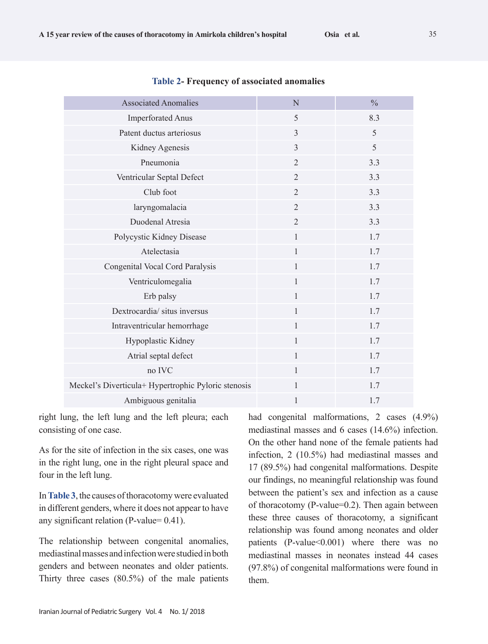| <b>Associated Anomalies</b>                         | N              | $\frac{0}{0}$ |
|-----------------------------------------------------|----------------|---------------|
| <b>Imperforated Anus</b>                            | 5              | 8.3           |
| Patent ductus arteriosus                            | $\mathfrak{Z}$ | 5             |
| Kidney Agenesis                                     | $\overline{3}$ | 5             |
| Pneumonia                                           | $\overline{2}$ | 3.3           |
| Ventricular Septal Defect                           | $\overline{2}$ | 3.3           |
| Club foot                                           | $\overline{2}$ | 3.3           |
| laryngomalacia                                      | $\overline{2}$ | 3.3           |
| Duodenal Atresia                                    | $\overline{2}$ | 3.3           |
| Polycystic Kidney Disease                           | $\mathbf{1}$   | 1.7           |
| Atelectasia                                         | $\mathbf{1}$   | 1.7           |
| Congenital Vocal Cord Paralysis                     | $\mathbf{1}$   | 1.7           |
| Ventriculomegalia                                   | $\mathbf{1}$   | 1.7           |
| Erb palsy                                           | $\mathbf{1}$   | 1.7           |
| Dextrocardia/ situs inversus                        | $\mathbf{1}$   | 1.7           |
| Intraventricular hemorrhage                         | $\mathbf{1}$   | 1.7           |
| Hypoplastic Kidney                                  | $\mathbf{1}$   | 1.7           |
| Atrial septal defect                                | $\mathbf{1}$   | 1.7           |
| no IVC                                              | $\mathbf{1}$   | 1.7           |
| Meckel's Diverticula+ Hypertrophic Pyloric stenosis | $\mathbf{1}$   | 1.7           |
| Ambiguous genitalia                                 | 1              | 1.7           |

#### **Table 2- Frequency of associated anomalies**

right lung, the left lung and the left pleura; each consisting of one case.

As for the site of infection in the six cases, one was in the right lung, one in the right pleural space and four in the left lung.

In **Table 3**, the causes of thoracotomy were evaluated in different genders, where it does not appear to have any significant relation (P-value= 0.41).

The relationship between congenital anomalies, mediastinal masses and infection were studied in both genders and between neonates and older patients. Thirty three cases (80.5%) of the male patients had congenital malformations, 2 cases (4.9%) mediastinal masses and 6 cases (14.6%) infection. On the other hand none of the female patients had infection, 2 (10.5%) had mediastinal masses and 17 (89.5%) had congenital malformations. Despite our findings, no meaningful relationship was found between the patient's sex and infection as a cause of thoracotomy (P-value=0.2). Then again between these three causes of thoracotomy, a significant relationship was found among neonates and older patients  $(P-value<0.001)$  where there was no mediastinal masses in neonates instead 44 cases (97.8%) of congenital malformations were found in them.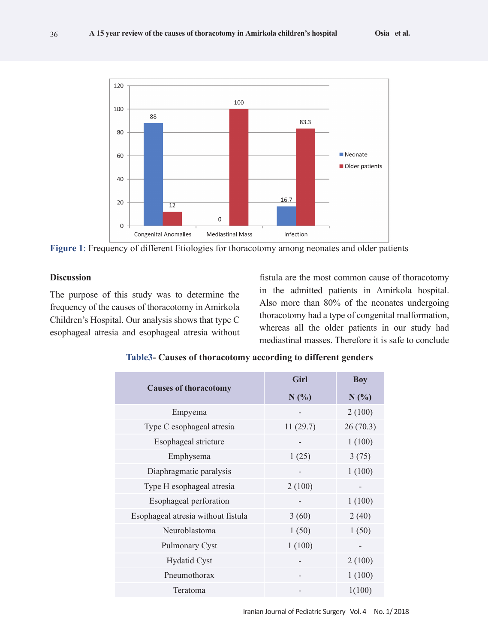

**Figure 1**: Frequency of different Etiologies for thoracotomy among neonates and older patients

# **Discussion**

36

The purpose of this study was to determine the frequency of the causes of thoracotomy in Amirkola Children's Hospital. Our analysis shows that type C esophageal atresia and esophageal atresia without

fistula are the most common cause of thoracotomy in the admitted patients in Amirkola hospital. Also more than 80% of the neonates undergoing thoracotomy had a type of congenital malformation, whereas all the older patients in our study had mediastinal masses. Therefore it is safe to conclude

|                                    | Girl              | <b>Boy</b> |
|------------------------------------|-------------------|------------|
| <b>Causes of thoracotomy</b>       | $N$ (%)           | $N$ (%)    |
| Empyema                            |                   | 2(100)     |
| Type C esophageal atresia          | 11(29.7)          | 26(70.3)   |
| Esophageal stricture               |                   | 1(100)     |
| Emphysema                          | 1(25)             | 3(75)      |
| Diaphragmatic paralysis            |                   | 1(100)     |
| Type H esophageal atresia          | 2(100)            |            |
| Esophageal perforation             | $\qquad \qquad -$ | 1(100)     |
| Esophageal atresia without fistula | 3(60)             | 2(40)      |
| Neuroblastoma                      | 1(50)             | 1(50)      |
| Pulmonary Cyst                     | 1(100)            |            |
| <b>Hydatid Cyst</b>                |                   | 2(100)     |
| Pneumothorax                       |                   | 1(100)     |
| Teratoma                           |                   | 1(100)     |

| Table3- Causes of thoracotomy according to different genders |  |  |
|--------------------------------------------------------------|--|--|
|--------------------------------------------------------------|--|--|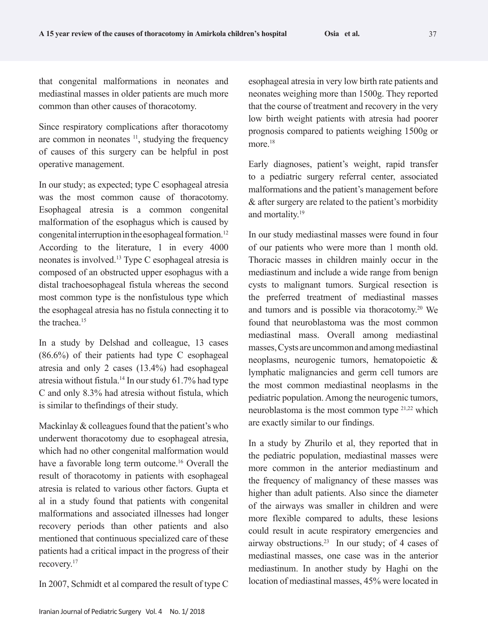that congenital malformations in neonates and mediastinal masses in older patients are much more common than other causes of thoracotomy.

Since respiratory complications after thoracotomy are common in neonates  $11$ , studying the frequency of causes of this surgery can be helpful in post operative management.

In our study; as expected; type C esophageal atresia was the most common cause of thoracotomy. Esophageal atresia is a common congenital malformation of the esophagus which is caused by congenital interruption in the esophageal formation.12 According to the literature, 1 in every 4000 neonates is involved.13 Type C esophageal atresia is composed of an obstructed upper esophagus with a distal trachoesophageal fistula whereas the second most common type is the nonfistulous type which the esophageal atresia has no fistula connecting it to the trachea<sup>15</sup>

In a study by Delshad and colleague, 13 cases (86.6%) of their patients had type C esophageal atresia and only 2 cases (13.4%) had esophageal atresia without fistula.14 In our study 61.7% had type C and only 8.3% had atresia without fistula, which is similar to thefindings of their study.

Mackinlay & colleagues found that the patient's who underwent thoracotomy due to esophageal atresia, which had no other congenital malformation would have a favorable long term outcome.<sup>16</sup> Overall the result of thoracotomy in patients with esophageal atresia is related to various other factors. Gupta et al in a study found that patients with congenital malformations and associated illnesses had longer recovery periods than other patients and also mentioned that continuous specialized care of these patients had a critical impact in the progress of their recovery.17

In 2007, Schmidt et al compared the result of type C

esophageal atresia in very low birth rate patients and neonates weighing more than 1500g. They reported that the course of treatment and recovery in the very low birth weight patients with atresia had poorer prognosis compared to patients weighing 1500g or more.<sup>18</sup>

Early diagnoses, patient's weight, rapid transfer to a pediatric surgery referral center, associated malformations and the patient's management before & after surgery are related to the patient's morbidity and mortality.19

In our study mediastinal masses were found in four of our patients who were more than 1 month old. Thoracic masses in children mainly occur in the mediastinum and include a wide range from benign cysts to malignant tumors. Surgical resection is the preferred treatment of mediastinal masses and tumors and is possible via thoracotomy.20 We found that neuroblastoma was the most common mediastinal mass. Overall among mediastinal masses, Cysts are uncommon and among mediastinal neoplasms, neurogenic tumors, hematopoietic & lymphatic malignancies and germ cell tumors are the most common mediastinal neoplasms in the pediatric population. Among the neurogenic tumors, neuroblastoma is the most common type 21,22 which are exactly similar to our findings.

In a study by Zhurilo et al, they reported that in the pediatric population, mediastinal masses were more common in the anterior mediastinum and the frequency of malignancy of these masses was higher than adult patients. Also since the diameter of the airways was smaller in children and were more flexible compared to adults, these lesions could result in acute respiratory emergencies and airway obstructions.23 In our study; of 4 cases of mediastinal masses, one case was in the anterior mediastinum. In another study by Haghi on the location of mediastinal masses, 45% were located in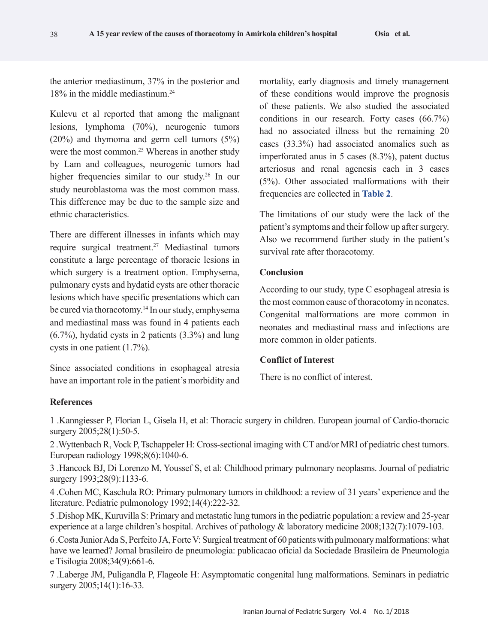the anterior mediastinum, 37% in the posterior and 18% in the middle mediastinum.24

Kulevu et al reported that among the malignant lesions, lymphoma (70%), neurogenic tumors (20%) and thymoma and germ cell tumors (5%) were the most common.<sup>25</sup> Whereas in another study by Lam and colleagues, neurogenic tumors had higher frequencies similar to our study.26 In our study neuroblastoma was the most common mass. This difference may be due to the sample size and ethnic characteristics.

There are different illnesses in infants which may require surgical treatment.27 Mediastinal tumors constitute a large percentage of thoracic lesions in which surgery is a treatment option. Emphysema, pulmonary cysts and hydatid cysts are other thoracic lesions which have specific presentations which can be cured via thoracotomy.14 In our study, emphysema and mediastinal mass was found in 4 patients each (6.7%), hydatid cysts in 2 patients (3.3%) and lung cysts in one patient (1.7%).

Since associated conditions in esophageal atresia have an important role in the patient's morbidity and mortality, early diagnosis and timely management of these conditions would improve the prognosis of these patients. We also studied the associated conditions in our research. Forty cases (66.7%) had no associated illness but the remaining 20 cases (33.3%) had associated anomalies such as imperforated anus in 5 cases (8.3%), patent ductus arteriosus and renal agenesis each in 3 cases (5%). Other associated malformations with their frequencies are collected in **Table 2**.

The limitations of our study were the lack of the patient's symptoms and their follow up after surgery. Also we recommend further study in the patient's survival rate after thoracotomy.

# **Conclusion**

According to our study, type C esophageal atresia is the most common cause of thoracotomy in neonates. Congenital malformations are more common in neonates and mediastinal mass and infections are more common in older patients.

# **Conflict of Interest**

There is no conflict of interest.

# **References**

1 .Kanngiesser P, Florian L, Gisela H, et al: Thoracic surgery in children. European journal of Cardio-thoracic surgery 2005;28(1):50-5.

2 .Wyttenbach R, Vock P, Tschappeler H: Cross-sectional imaging with CT and/or MRI of pediatric chest tumors. European radiology 1998;8(6):1040-6.

3 .Hancock BJ, Di Lorenzo M, Youssef S, et al: Childhood primary pulmonary neoplasms. Journal of pediatric surgery 1993;28(9):1133-6.

4 .Cohen MC, Kaschula RO: Primary pulmonary tumors in childhood: a review of 31 years' experience and the literature. Pediatric pulmonology 1992;14(4):222-32.

5 .Dishop MK, Kuruvilla S: Primary and metastatic lung tumors in the pediatric population: a review and 25-year experience at a large children's hospital. Archives of pathology & laboratory medicine 2008;132(7):1079-103.

6 .Costa Junior Ada S, Perfeito JA, Forte V: Surgical treatment of 60 patients with pulmonary malformations: what have we learned? Jornal brasileiro de pneumologia: publicacao oficial da Sociedade Brasileira de Pneumologia e Tisilogia 2008;34(9):661-6.

7 .Laberge JM, Puligandla P, Flageole H: Asymptomatic congenital lung malformations. Seminars in pediatric surgery 2005;14(1):16-33.